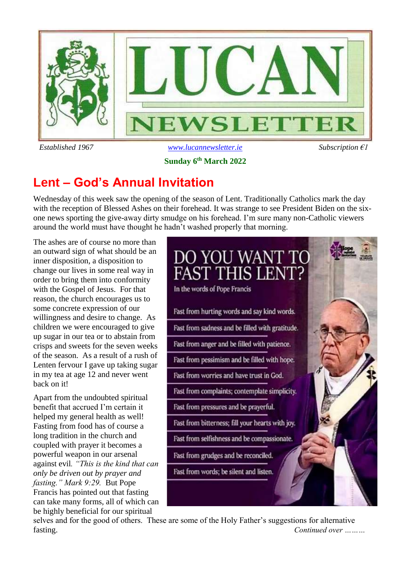

### *Established 1967 [www.lucannewsletter.ie](http://www.lucannewsletter.ie/) Subscription €1* **Sunday 6 th March 2022**

## **Lent – God's Annual Invitation**

Wednesday of this week saw the opening of the season of Lent. Traditionally Catholics mark the day with the reception of Blessed Ashes on their forehead. It was strange to see President Biden on the sixone news sporting the give-away dirty smudge on his forehead. I'm sure many non-Catholic viewers around the world must have thought he hadn't washed properly that morning.

The ashes are of course no more than an outward sign of what should be an inner disposition, a disposition to change our lives in some real way in order to bring them into conformity with the Gospel of Jesus. For that reason, the church encourages us to some concrete expression of our willingness and desire to change. As children we were encouraged to give up sugar in our tea or to abstain from crisps and sweets for the seven weeks of the season. As a result of a rush of Lenten fervour I gave up taking sugar in my tea at age 12 and never went back on it!

Apart from the undoubted spiritual benefit that accrued I'm certain it helped my general health as well! Fasting from food has of course a long tradition in the church and coupled with prayer it becomes a powerful weapon in our arsenal against evil*. "This is the kind that can only be driven out by prayer and fasting." Mark 9:29.* But Pope Francis has pointed out that fasting can take many forms, all of which can be highly beneficial for our spiritual



selves and for the good of others. These are some of the Holy Father's suggestions for alternative fasting. *Continued over ………*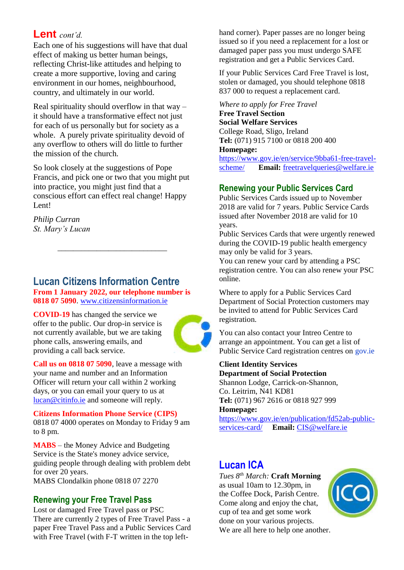### **Lent** *cont'd.*

Each one of his suggestions will have that dual effect of making us better human beings, reflecting Christ-like attitudes and helping to create a more supportive, loving and caring environment in our homes, neighbourhood, country, and ultimately in our world.

Real spirituality should overflow in that way – it should have a transformative effect not just for each of us personally but for society as a whole. A purely private spirituality devoid of any overflow to others will do little to further the mission of the church.

So look closely at the suggestions of Pope Francis, and pick one or two that you might put into practice, you might just find that a conscious effort can effect real change! Happy Lent!

*Philip Curran St. Mary's Lucan*

### **Lucan Citizens Information Centre From 1 January 2022, our telephone number is 0818 07 5090**[. www.citizensinformation.ie](http://www.citizensinformation.ie/)

\_\_\_\_\_\_\_\_\_\_\_\_\_\_\_\_\_\_\_\_\_\_\_\_\_\_\_\_

**COVID-19** has changed the service we offer to the public. Our drop-in service is not currently available, but we are taking phone calls, answering emails, and providing a call back service.



**Call us on 0818 07 5090**, leave a message with your name and number and an Information Officer will return your call within 2 working days, or you can email your query to us at [lucan@citinfo.ie](mailto:lucan@citinfo.ie) and someone will reply.

**Citizens Information Phone Service (CIPS)** 0818 07 4000 operates on Monday to Friday 9 am to 8 pm.

**MABS** – the Money Advice and Budgeting Service is the State's money advice service, guiding people through dealing with problem debt for over 20 years.

MABS Clondalkin phone 0818 07 2270

#### **Renewing your Free Travel Pass**

Lost or damaged Free Travel pass or PSC There are currently 2 types of Free Travel Pass - a paper Free Travel Pass and a Public Services Card with Free Travel (with F-T written in the top lefthand corner). Paper passes are no longer being issued so if you need a replacement for a lost or damaged paper pass you must undergo SAFE registration and get a Public Services Card.

If your Public Services Card Free Travel is lost, stolen or damaged, you should telephone 0818 837 000 to request a replacement card.

*Where to apply for Free Travel*

**Free Travel Section Social Welfare Services** College Road, Sligo, Ireland **Tel:** (071) 915 7100 or 0818 200 400 **Homepage:** 

[https://www.gov.ie/en/service/9bba61-free-travel](https://www.gov.ie/en/service/9bba61-free-travel-scheme/)[scheme/](https://www.gov.ie/en/service/9bba61-free-travel-scheme/) **Email:** [freetravelqueries@welfare.ie](mailto:freetravelqueries@welfare.ie)

#### **Renewing your Public Services Card**

Public Services Cards issued up to November 2018 are valid for 7 years. Public Service Cards issued after November 2018 are valid for 10 years.

Public Services Cards that were urgently renewed during the COVID-19 public health emergency may only be valid for 3 years.

You can renew your card by attending a PSC registration centre. You can also renew your PSC online.

Where to apply for a Public Services Card Department of Social Protection customers may be invited to attend for Public Services Card registration.

You can also contact your Intreo Centre to arrange an appointment. You can get a list of Public Service Card registration centres on gov.ie

**Client Identity Services Department of Social Protection**

Shannon Lodge, Carrick-on-Shannon, Co. Leitrim, N41 KD81 **Tel:** (071) 967 2616 or 0818 927 999

**Homepage:** 

[https://www.gov.ie/en/publication/fd52ab-public](https://www.gov.ie/en/publication/fd52ab-public-services-card/)[services-card/](https://www.gov.ie/en/publication/fd52ab-public-services-card/) **Email:** [CIS@welfare.ie](mailto:CIS@welfare.ie)

### **Lucan ICA**

*Tues 8th March:* **Craft Morning** as usual 10am to 12.30pm, in the Coffee Dock, Parish Centre. Come along and enjoy the chat, cup of tea and get some work done on your various projects. We are all here to help one another.

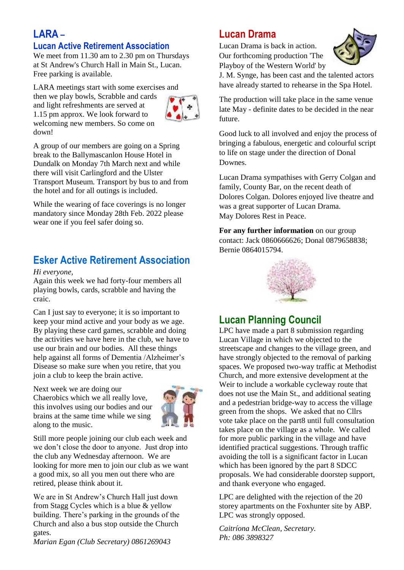### **LARA –**

### **Lucan Active Retirement Association**

We meet from 11.30 am to 2.30 pm on Thursdays at St Andrew's Church Hall in Main St., Lucan. Free parking is available.

LARA meetings start with some exercises and

then we play bowls, Scrabble and cards and light refreshments are served at 1.15 pm approx. We look forward to welcoming new members. So come on down!



A group of our members are going on a Spring break to the Ballymascanlon House Hotel in Dundalk on Monday 7th March next and while there will visit Carlingford and the Ulster Transport Museum. Transport by bus to and from the hotel and for all outings is included.

While the wearing of face coverings is no longer mandatory since Monday 28th Feb. 2022 please wear one if you feel safer doing so.

### **Esker Active Retirement Association**

*Hi everyone,* 

Again this week we had forty-four members all playing bowls, cards, scrabble and having the craic.

Can I just say to everyone; it is so important to keep your mind active and your body as we age. By playing these card games, scrabble and doing the activities we have here in the club, we have to use our brain and our bodies. All these things help against all forms of Dementia /Alzheimer's Disease so make sure when you retire, that you join a club to keep the brain active.

Next week we are doing our Chaerobics which we all really love, this involves using our bodies and our brains at the same time while we sing along to the music.



Still more people joining our club each week and we don't close the door to anyone. Just drop into the club any Wednesday afternoon. We are looking for more men to join our club as we want a good mix, so all you men out there who are retired, please think about it.

We are in St Andrew's Church Hall just down from Stagg Cycles which is a blue & yellow building. There's parking in the grounds of the Church and also a bus stop outside the Church gates.

*Marian Egan (Club Secretary) 0861269043*

### **Lucan Drama**

Lucan Drama is back in action. Our forthcoming production 'The Playboy of the Western World' by



J. M. Synge, has been cast and the talented actors have already started to rehearse in the Spa Hotel.

The production will take place in the same venue late May - definite dates to be decided in the near future.

Good luck to all involved and enjoy the process of bringing a fabulous, energetic and colourful script to life on stage under the direction of Donal Downes.

Lucan Drama sympathises with Gerry Colgan and family, County Bar, on the recent death of Dolores Colgan. Dolores enjoyed live theatre and was a great supporter of Lucan Drama. May Dolores Rest in Peace.

**For any further information** on our group contact: Jack 0860666626; Donal 0879658838; Bernie 0864015794.



### **Lucan Planning Council**

LPC have made a part 8 submission regarding Lucan Village in which we objected to the streetscape and changes to the village green, and have strongly objected to the removal of parking spaces. We proposed two-way traffic at Methodist Church, and more extensive development at the Weir to include a workable cycleway route that does not use the Main St., and additional seating and a pedestrian bridge-way to access the village green from the shops. We asked that no Cllrs vote take place on the part8 until full consultation takes place on the village as a whole. We called for more public parking in the village and have identified practical suggestions. Through traffic avoiding the toll is a significant factor in Lucan which has been ignored by the part 8 SDCC proposals. We had considerable doorstep support, and thank everyone who engaged.

LPC are delighted with the rejection of the 20 storey apartments on the Foxhunter site by ABP. LPC was strongly opposed.

*Caitríona McClean, Secretary. Ph: 086 3898327*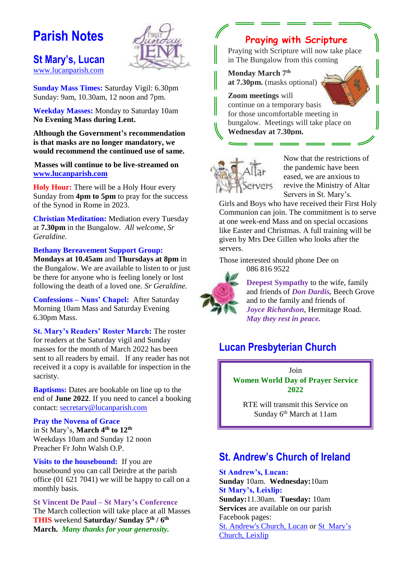## **Parish Notes**

#### **St Mary's, Lucan**  [www.lucanparish.com](http://www.lucanparish.com/)



**Sunday Mass Times:** Saturday Vigil: 6.30pm Sunday: 9am, 10.30am, 12 noon and 7pm.

**Weekday Masses:** Monday to Saturday 10am **No Evening Mass during Lent.**

**Although the Government's recommendation is that masks are no longer mandatory, we would recommend the continued use of same.**

**Masses will continue to be live-streamed on [www.lucanparish.com](http://www.lucanparish.com/)**

**Holy Hour:** There will be a Holy Hour every Sunday from **4pm to 5pm** to pray for the success of the Synod in Rome in 2023.

**Christian Meditation:** Mediation every Tuesday at **7.30pm** in the Bungalow. *All welcome, Sr Geraldine.*

**Bethany Bereavement Support Group:**

**Mondays at 10.45am** and **Thursdays at 8pm** in the Bungalow. We are available to listen to or just be there for anyone who is feeling lonely or lost following the death of a loved one. *Sr Geraldine.* 

**Confessions – Nuns' Chapel:** After Saturday Morning 10am Mass and Saturday Evening 6.30pm Mass.

**St. Mary's Readers' Roster March:** The roster for readers at the Saturday vigil and Sunday masses for the month of March 2022 has been sent to all readers by email. If any reader has not received it a copy is available for inspection in the sacristy.

**Baptisms:** Dates are bookable on line up to the end of **June 2022**. If you need to cancel a booking contact: [secretary@lucanparish.com](mailto:secretary@lucanparish.com?subject=Cancellation%20of%20Baptism%20Booking&body=Dear%20Secretary%2C%0AI%20wish%20to%20cancel%20the%20booking%20made%20for%20baby%3A%0Aon%20date%3A%0AThank%20You)

#### **Pray the Novena of Grace**

in St Mary's, **March 4th to 12th** Weekdays 10am and Sunday 12 noon Preacher Fr John Walsh O.P.

**Visits to the housebound:** If you are housebound you can call Deirdre at the parish office (01 621 7041) we will be happy to call on a monthly basis.

**St Vincent De Paul – St Mary's Conference** The March collection will take place at all Masses **THIS** weekend **Saturday/ Sunday 5 th / 6th March.** *Many thanks for your generosity.*

### **Praying with Scripture**

Praying with Scripture will now take place in The Bungalow from this coming

**Monday March 7 th at 7.30pm.** (masks optional)

**Zoom meetings** will continue on a temporary basis for those uncomfortable meeting in bungalow. Meetings will take place on **Wednesday at 7.30pm.**



Now that the restrictions of the pandemic have been eased, we are anxious to revive the Ministry of Altar Servers in St. Mary's.

Girls and Boys who have received their First Holy Communion can join. The commitment is to serve at one week-end Mass and on special occasions like Easter and Christmas. A full training will be given by Mrs Dee Gillen who looks after the servers.

Those interested should phone Dee on 086 816 9522



**Deepest Sympathy** to the wife, family and friends of *Don Dardis,* Beech Grove and to the family and friends of *Joyce Richardson*, Hermitage Road. *May they rest in peace.*

### **Lucan Presbyterian Church**

Join **Women World Day of Prayer Service 2022**

RTE will transmit this Service on Sunday 6<sup>th</sup> March at 11am

### **St. Andrew's Church of Ireland**

**St Andrew's, Lucan: Sunday** 10am. **Wednesday:**10am **St Mary's, Leixlip: Sunday:**11.30am. **Tuesday:** 10am **Services** are available on our parish Facebook pages:

[St. Andrew's Church,](https://www.facebook.com/standrewslucan/) Lucan or [St Mary's](https://www.facebook.com/stmarysleixlip/)  [Church, Leixlip](https://www.facebook.com/stmarysleixlip/)

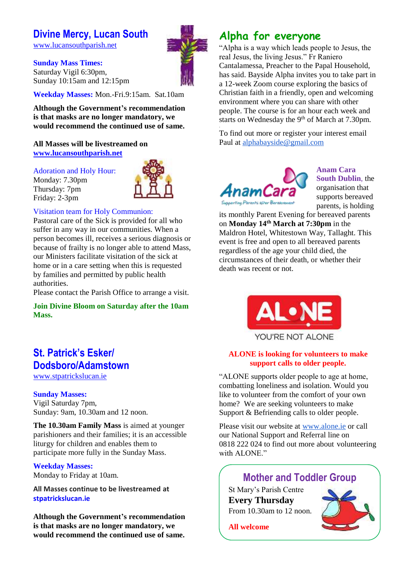### **Divine Mercy, Lucan South**

[www.lucansouthparish.net](http://www.lucansouthparish.net/)

**Sunday Mass Times:** Saturday Vigil 6:30pm, Sunday 10:15am and 12:15pm

**Weekday Masses:** Mon.-Fri.9:15am. Sat.10am

**Although the Government's recommendation is that masks are no longer mandatory, we would recommend the continued use of same.**

#### **All Masses will be livestreamed on [www.lucansouthparish.net](http://www.lucansouthparish.net/)**

Adoration and Holy Hour:

Monday: 7.30pm Thursday: 7pm Friday: 2-3pm



#### Visitation team for Holy Communion:

Pastoral care of the Sick is provided for all who suffer in any way in our communities. When a person becomes ill, receives a serious diagnosis or because of frailty is no longer able to attend Mass, our Ministers facilitate visitation of the sick at home or in a care setting when this is requested by families and permitted by public health authorities.

Please contact the Parish Office to arrange a visit.

**Join Divine Bloom on Saturday after the 10am Mass.**

### **St. Patrick's Esker/ Dodsboro/Adamstown**

[www.stpatrickslucan.ie](http://www.stpatrickslucan.ie/)

#### **Sunday Masses:**

Vigil Saturday 7pm, Sunday: 9am, 10.30am and 12 noon.

**The 10.30am Family Mass** is aimed at younger parishioners and their families; it is an accessible liturgy for children and enables them to participate more fully in the Sunday Mass.

#### **Weekday Masses:**

Monday to Friday at 10am.

**All Masses continue to be livestreamed at stpatrickslucan.ie**

**Although the Government's recommendation is that masks are no longer mandatory, we would recommend the continued use of same.**

### **Alpha for everyone**

"Alpha is a way which leads people to Jesus, the real Jesus, the living Jesus." Fr Raniero Cantalamessa, Preacher to the Papal Household, has said. Bayside Alpha invites you to take part in a 12-week Zoom course exploring the basics of Christian faith in a friendly, open and welcoming environment where you can share with other people. The course is for an hour each week and starts on Wednesday the  $9<sup>th</sup>$  of March at 7.30pm.

To find out more or register your interest email Paul at [alphabayside@gmail.com](mailto:alphabayside@gmail.com)



**Anam Cara South Dublin**, the organisation that supports bereaved parents, is holding

its monthly Parent Evening for bereaved parents on **Monday 14th March at 7:30pm** in the Maldron Hotel, Whitestown Way, Tallaght. This event is free and open to all bereaved parents regardless of the age your child died, the circumstances of their death, or whether their death was recent or not.



#### **ALONE is looking for volunteers to make support calls to older people.**

"ALONE supports older people to age at home, combatting loneliness and isolation. Would you like to volunteer from the comfort of your own home? We are seeking volunteers to make Support & Befriending calls to older people.

Please visit our website at [www.alone.ie](http://www.alone.ie/) or call our National Support and Referral line on 0818 222 024 to find out more about volunteering with ALONE."

### **Mother and Toddler Group**

St Mary's Parish Centre **Every Thursday**  From 10.30am to 12 noon.



**All welcome**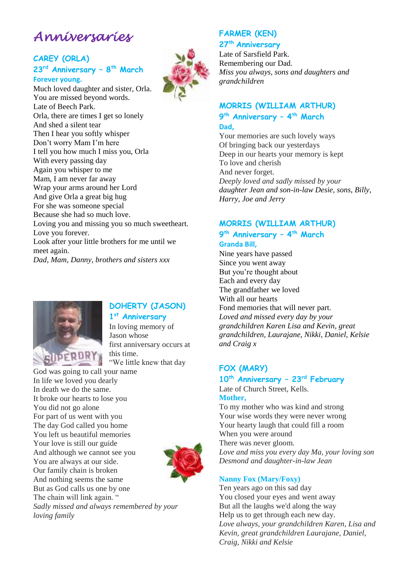## *Anniversaries*

#### **CAREY (ORLA) 23 rd Anniversary – 8 th March Forever young.**

Much loved daughter and sister, Orla. You are missed beyond words. Late of Beech Park. Orla, there are times I get so lonely And shed a silent tear Then I hear you softly whisper Don't worry Mam I'm here I tell you how much I miss you, Orla With every passing day Again you whisper to me Mam, I am never far away Wrap your arms around her Lord And give Orla a great big hug For she was someone special Because she had so much love. Loving you and missing you so much sweetheart. Love you forever. Look after your little brothers for me until we meet again.

*Dad, Mam, Danny, brothers and sisters xxx*



### **DOHERTY (JASON)**

**1 st Anniversary**

In loving memory of Jason whose first anniversary occurs at this time. "We little knew that day

God was going to call your name In life we loved you dearly In death we do the same. It broke our hearts to lose you You did not go alone For part of us went with you The day God called you home You left us beautiful memories Your love is still our guide And although we cannot see you You are always at our side. Our family chain is broken And nothing seems the same But as God calls us one by one The chain will link again. "



*Sadly missed and always remembered by your loving family*

### **FARMER (KEN)**

**27th Anniversary**

Late of Sarsfield Park. Remembering our Dad. *Miss you always, sons and daughters and grandchildren*

### **MORRIS (WILLIAM ARTHUR)**

**9 th Anniversary – 4 th March Dad,** 

Your memories are such lovely ways Of bringing back our yesterdays Deep in our hearts your memory is kept To love and cherish And never forget. *Deeply loved and sadly missed by your daughter Jean and son-in-law Desie, sons, Billy, Harry, Joe and Jerry*

#### **MORRIS (WILLIAM ARTHUR) 9 th Anniversary – 4 th March Granda Bill,**

Nine years have passed Since you went away But you're thought about Each and every day The grandfather we loved With all our hearts Fond memories that will never part. *Loved and missed every day by your grandchildren Karen Lisa and Kevin, great grandchildren, Laurajane, Nikki, Daniel, Kelsie and Craig x*

#### **FOX (MARY)**

### **10th Anniversary – 23rd February**

Late of Church Street, Kells. **Mother,**

To my mother who was kind and strong Your wise words they were never wrong Your hearty laugh that could fill a room When you were around There was never gloom. *Love and miss you every day Ma, your loving son Desmond and daughter-in-law Jean*

#### **Nanny Fox (Mary/Foxy)**

Ten years ago on this sad day You closed your eyes and went away But all the laughs we'd along the way Help us to get through each new day. *Love always, your grandchildren Karen, Lisa and Kevin, great grandchildren Laurajane, Daniel, Craig, Nikki and Kelsie*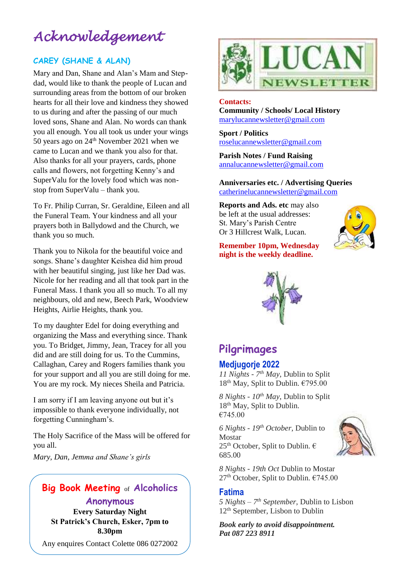## *Acknowledgement*

#### **CAREY (SHANE & ALAN)**

Mary and Dan, Shane and Alan's Mam and Stepdad, would like to thank the people of Lucan and surrounding areas from the bottom of our broken hearts for all their love and kindness they showed to us during and after the passing of our much loved sons, Shane and Alan. No words can thank you all enough. You all took us under your wings 50 years ago on 24<sup>th</sup> November 2021 when we came to Lucan and we thank you also for that. Also thanks for all your prayers, cards, phone calls and flowers, not forgetting Kenny's and SuperValu for the lovely food which was nonstop from SuperValu – thank you.

To Fr. Philip Curran, Sr. Geraldine, Eileen and all the Funeral Team. Your kindness and all your prayers both in Ballydowd and the Church, we thank you so much.

Thank you to Nikola for the beautiful voice and songs. Shane's daughter Keishea did him proud with her beautiful singing, just like her Dad was. Nicole for her reading and all that took part in the Funeral Mass. I thank you all so much. To all my neighbours, old and new, Beech Park, Woodview Heights, Airlie Heights, thank you.

To my daughter Edel for doing everything and organizing the Mass and everything since. Thank you. To Bridget, Jimmy, Jean, Tracey for all you did and are still doing for us. To the Cummins, Callaghan, Carey and Rogers families thank you for your support and all you are still doing for me. You are my rock. My nieces Sheila and Patricia.

I am sorry if I am leaving anyone out but it's impossible to thank everyone individually, not forgetting Cunningham's.

The Holy Sacrifice of the Mass will be offered for you all.

*Mary, Dan, Jemma and Shane's girls*

### **Big Book Meeting** of **Alcoholics Anonymous**

**Every Saturday Night St Patrick's Church, Esker, 7pm to 8.30pm**

Any enquires Contact Colette 086 0272002



#### **Contacts: Community / Schools/ Local History**  [marylucannewsletter@gmail.com](mailto:marylucannewsletter@gmail.com)

**Sport / Politics** [roselucannewsletter@gmail.com](mailto:roselucannewsletter@gmail.com)

**Parish Notes / Fund Raising** [annalucannewsletter@gmail.com](mailto:annalucannewsletter@gmail.com)

**Anniversaries etc. / Advertising Queries**  [catherinelucannewsletter@gmail.com](mailto:catherinelucannewsletter@gmail.com)

**Reports and Ads. etc** may also be left at the usual addresses: St. Mary's Parish Centre Or 3 Hillcrest Walk, Lucan.



**Remember 10pm, Wednesday night is the weekly deadline.** 



### **Pilgrimages**

### **Medjugorje 2022**

*11 Nights - 7 th May*, Dublin to Split 18<sup>th</sup> May, Split to Dublin. €795.00

*8 Nights - 10th May*, Dublin to Split 18<sup>th</sup> May, Split to Dublin. €745.00

*6 Nights - 19th October*, Dublin to Mostar  $25<sup>th</sup>$  October, Split to Dublin.  $\epsilon$ 685.00



*8 Nights - 19th Oct* Dublin to Mostar 27<sup>th</sup> October, Split to Dublin. €745.00

#### **Fatima**

*5 Nights – 7 th September*, Dublin to Lisbon 12<sup>th</sup> September, Lisbon to Dublin

*Book early to avoid disappointment. Pat 087 223 8911*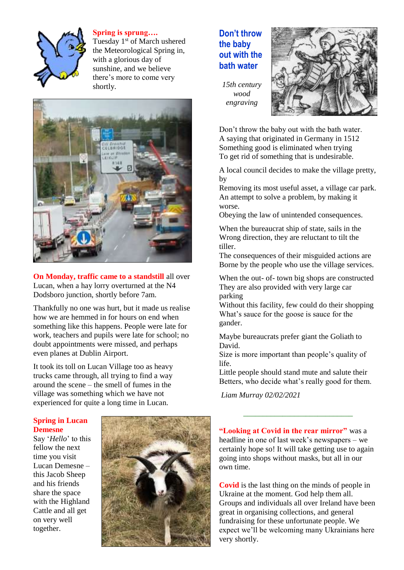

**Spring is sprung….**

Tuesday 1<sup>st</sup> of March ushered the Meteorological Spring in, with a glorious day of sunshine, and we believe there's more to come very shortly.



**On Monday, traffic came to a standstill** all over Lucan, when a hay lorry overturned at the N4 Dodsboro junction, shortly before 7am.

Thankfully no one was hurt, but it made us realise how we are hemmed in for hours on end when something like this happens. People were late for work, teachers and pupils were late for school; no doubt appointments were missed, and perhaps even planes at Dublin Airport.

It took its toll on Lucan Village too as heavy trucks came through, all trying to find a way around the scene – the smell of fumes in the village was something which we have not experienced for quite a long time in Lucan.

#### **Spring in Lucan Demesne**

Say '*Hello*' to this fellow the next time you visit Lucan Demesne – this Jacob Sheep and his friends share the space with the Highland Cattle and all get on very well together.



### **Don't throw the baby out with the bath water**



*15th century wood engraving*

Don't throw the baby out with the bath water. A saying that originated in Germany in 1512 Something good is eliminated when trying To get rid of something that is undesirable.

A local council decides to make the village pretty, by

Removing its most useful asset, a village car park. An attempt to solve a problem, by making it worse.

Obeying the law of unintended consequences.

When the bureaucrat ship of state, sails in the Wrong direction, they are reluctant to tilt the tiller.

The consequences of their misguided actions are Borne by the people who use the village services.

When the out- of- town big shops are constructed They are also provided with very large car parking

Without this facility, few could do their shopping What's sauce for the goose is sauce for the gander.

Maybe bureaucrats prefer giant the Goliath to David.

Size is more important than people's quality of life.

Little people should stand mute and salute their Betters, who decide what's really good for them.

*Liam Murray 02/02/2021*

**"Looking at Covid in the rear mirror"** was a headline in one of last week's newspapers – we certainly hope so! It will take getting use to again going into shops without masks, but all in our own time.

\_\_\_\_\_\_\_\_\_\_\_\_\_\_\_\_\_\_\_\_\_\_\_\_\_\_\_\_

**Covid** is the last thing on the minds of people in Ukraine at the moment. God help them all. Groups and individuals all over Ireland have been great in organising collections, and general fundraising for these unfortunate people. We expect we'll be welcoming many Ukrainians here very shortly.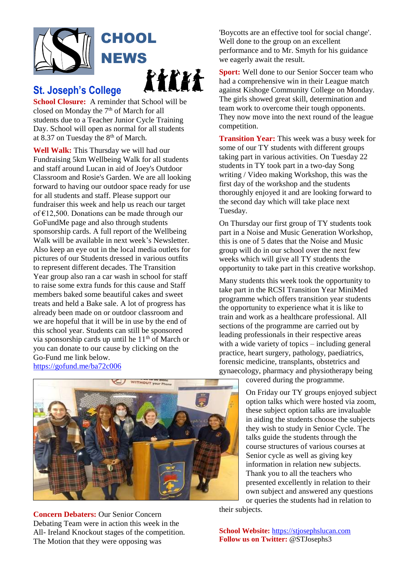

# **CHOOL NEWS** e e de la comparabilidad en la comparabilidad en la comparabilidad en la comparabilidad en la comparabilidad e<br>En la comparabilidad en la comparabilidad en la comparabilidad en la comparabilidad en la comparabilidad en la

### **St. Joseph's College**

**School Closure:** A reminder that School will be closed on Monday the  $7<sup>th</sup>$  of March for all students due to a Teacher Junior Cycle Training Day. School will open as normal for all students at 8.37 on Tuesday the 8th of March.

**Well Walk:** This Thursday we will had our Fundraising 5km Wellbeing Walk for all students and staff around Lucan in aid of Joey's Outdoor Classroom and Rosie's Garden. We are all looking forward to having our outdoor space ready for use for all students and staff. Please support our fundraiser this week and help us reach our target of €12,500. Donations can be made through our GoFundMe page and also through students sponsorship cards. A full report of the Wellbeing Walk will be available in next week's Newsletter. Also keep an eye out in the local media outlets for pictures of our Students dressed in various outfits to represent different decades. The Transition Year group also ran a car wash in school for staff to raise some extra funds for this cause and Staff members baked some beautiful cakes and sweet treats and held a Bake sale. A lot of progress has already been made on or outdoor classroom and we are hopeful that it will be in use by the end of this school year. Students can still be sponsored via sponsorship cards up until he  $11<sup>th</sup>$  of March or you can donate to our cause by clicking on the Go-Fund me link below. <https://gofund.me/ba72c006>

'Boycotts are an effective tool for social change'. Well done to the group on an excellent performance and to Mr. Smyth for his guidance we eagerly await the result.

**Sport:** Well done to our Senior Soccer team who had a comprehensive win in their League match against Kishoge Community College on Monday. The girls showed great skill, determination and team work to overcome their tough opponents. They now move into the next round of the league competition.

**Transition Year:** This week was a busy week for some of our TY students with different groups taking part in various activities. On Tuesday 22 students in TY took part in a two-day Song writing / Video making Workshop, this was the first day of the workshop and the students thoroughly enjoyed it and are looking forward to the second day which will take place next Tuesday.

On Thursday our first group of TY students took part in a Noise and Music Generation Workshop, this is one of 5 dates that the Noise and Music group will do in our school over the next few weeks which will give all TY students the opportunity to take part in this creative workshop.

Many students this week took the opportunity to take part in the RCSI Transition Year MiniMed programme which offers transition year students the opportunity to experience what it is like to train and work as a healthcare professional. All sections of the programme are carried out by leading professionals in their respective areas with a wide variety of topics – including general practice, heart surgery, pathology, paediatrics, forensic medicine, transplants, obstetrics and gynaecology, pharmacy and physiotherapy being

covered during the programme.

On Friday our TY groups enjoyed subject option talks which were hosted via zoom, these subject option talks are invaluable in aiding the students choose the subjects they wish to study in Senior Cycle. The talks guide the students through the course structures of various courses at Senior cycle as well as giving key information in relation new subjects. Thank you to all the teachers who presented excellently in relation to their own subject and answered any questions or queries the students had in relation to

their subjects.

**Concern Debaters:** Our Senior Concern Debating Team were in action this week in the All- Ireland Knockout stages of the competition. The Motion that they were opposing was

**School Website:** [https://stjosephslucan.com](https://stjosephslucan.com/) **Follow us on Twitter:** @STJosephs3

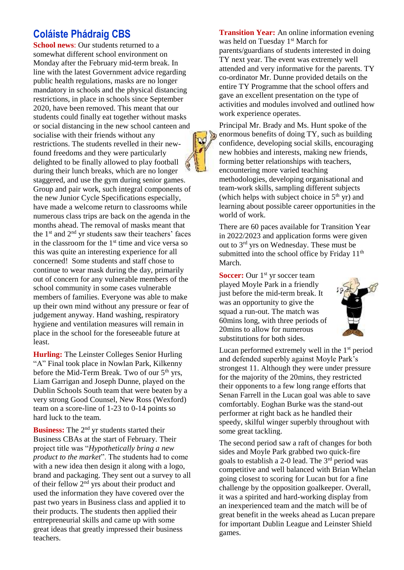### **Coláiste Phádraig CBS**

**School news:** Our students returned to a somewhat different school environment on Monday after the February mid-term break. In line with the latest Government advice regarding public health regulations, masks are no longer mandatory in schools and the physical distancing restrictions, in place in schools since September 2020, have been removed. This meant that our students could finally eat together without masks or social distancing in the new school canteen and socialise with their friends without any restrictions. The students revelled in their newfound freedoms and they were particularly delighted to be finally allowed to play football during their lunch breaks, which are no longer staggered, and use the gym during senior games. Group and pair work, such integral components of the new Junior Cycle Specifications especially, have made a welcome return to classrooms while numerous class trips are back on the agenda in the months ahead. The removal of masks meant that the 1<sup>st</sup> and 2<sup>nd</sup> yr students saw their teachers' faces in the classroom for the  $1<sup>st</sup>$  time and vice versa so this was quite an interesting experience for all concerned! Some students and staff chose to continue to wear mask during the day, primarily out of concern for any vulnerable members of the school community in some cases vulnerable members of families. Everyone was able to make up their own mind without any pressure or fear of judgement anyway. Hand washing, respiratory hygiene and ventilation measures will remain in place in the school for the foreseeable future at least.

**Hurling:** The Leinster Colleges Senior Hurling "A" Final took place in Nowlan Park, Kilkenny before the Mid-Term Break. Two of our  $5<sup>th</sup>$  yrs, Liam Garrigan and Joseph Dunne, played on the Dublin Schools South team that were beaten by a very strong Good Counsel, New Ross (Wexford) team on a score-line of 1-23 to 0-14 points so hard luck to the team.

**Business:** The 2<sup>nd</sup> yr students started their Business CBAs at the start of February. Their project title was "*Hypothetically bring a new product to the market*". The students had to come with a new idea then design it along with a logo, brand and packaging. They sent out a survey to all of their fellow 2nd yrs about their product and used the information they have covered over the past two years in Business class and applied it to their products. The students then applied their entrepreneurial skills and came up with some great ideas that greatly impressed their business teachers.

**Transition Year:** An online information evening was held on Tuesday 1<sup>st</sup> March for parents/guardians of students interested in doing TY next year. The event was extremely well attended and very informative for the parents. TY co-ordinator Mr. Dunne provided details on the entire TY Programme that the school offers and gave an excellent presentation on the type of activities and modules involved and outlined how work experience operates.

Principal Mr. Brady and Ms. Hunt spoke of the enormous benefits of doing TY, such as building confidence, developing social skills, encouraging new hobbies and interests, making new friends, forming better relationships with teachers, encountering more varied teaching methodologies, developing organisational and team-work skills, sampling different subjects (which helps with subject choice in  $5<sup>th</sup>$  yr) and learning about possible career opportunities in the world of work.

Ñ,

There are 60 paces available for Transition Year in 2022/2023 and application forms were given out to 3rd yrs on Wednesday. These must be submitted into the school office by Friday 11<sup>th</sup> March.

**Soccer:** Our 1<sup>st</sup> yr soccer team played Moyle Park in a friendly just before the mid-term break. It was an opportunity to give the squad a run-out. The match was 60mins long, with three periods of 20mins to allow for numerous substitutions for both sides.



Lucan performed extremely well in the 1<sup>st</sup> period and defended superbly against Moyle Park's strongest 11. Although they were under pressure for the majority of the 20mins, they restricted their opponents to a few long range efforts that Senan Farrell in the Lucan goal was able to save comfortably. Eoghan Burke was the stand-out performer at right back as he handled their speedy, skilful winger superbly throughout with some great tackling.

The second period saw a raft of changes for both sides and Moyle Park grabbed two quick-fire goals to establish a 2-0 lead. The  $3<sup>rd</sup>$  period was competitive and well balanced with Brian Whelan going closest to scoring for Lucan but for a fine challenge by the opposition goalkeeper. Overall, it was a spirited and hard-working display from an inexperienced team and the match will be of great benefit in the weeks ahead as Lucan prepare for important Dublin League and Leinster Shield games.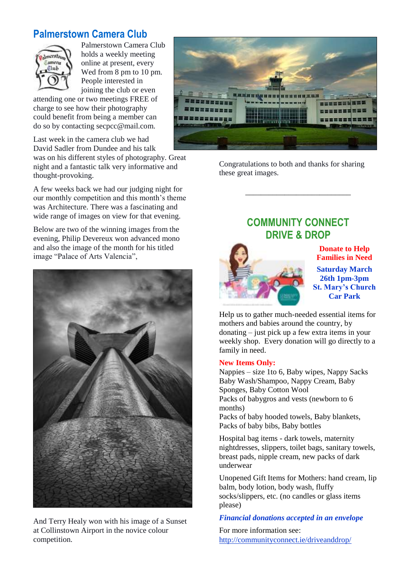### **Palmerstown Camera Club**



Palmerstown Camera Club holds a weekly meeting online at present, every Wed from 8 pm to 10 pm. People interested in joining the club or even

attending one or two meetings FREE of charge to see how their photography could benefit from being a member can do so by contacting secpcc@mail.com.

Last week in the camera club we had David Sadler from Dundee and his talk was on his different styles of photography. Great night and a fantastic talk very informative and thought-provoking.

A few weeks back we had our judging night for our monthly competition and this month's theme was Architecture. There was a fascinating and wide range of images on view for that evening.

Below are two of the winning images from the evening, Philip Devereux won advanced mono and also the image of the month for his titled image "Palace of Arts Valencia",



And Terry Healy won with his image of a Sunset at Collinstown Airport in the novice colour competition.



Congratulations to both and thanks for sharing these great images.

### **COMMUNITY CONNECT DRIVE & DROP**

\_\_\_\_\_\_\_\_\_\_\_\_\_\_\_\_\_\_\_\_\_\_\_\_\_\_\_



**Donate to Help Families in Need**

**Saturday March 26th 1pm-3pm St. Mary's Church Car Park**

Help us to gather much-needed essential items for mothers and babies around the country, by donating – just pick up a few extra items in your weekly shop. Every donation will go directly to a family in need.

#### **New Items Only:**

Nappies – size 1to 6, Baby wipes, Nappy Sacks Baby Wash/Shampoo, Nappy Cream, Baby Sponges, Baby Cotton Wool Packs of babygros and vests (newborn to 6 months)

Packs of baby hooded towels, Baby blankets, Packs of baby bibs, Baby bottles

Hospital bag items - dark towels, maternity nightdresses, slippers, toilet bags, sanitary towels, breast pads, nipple cream, new packs of dark underwear

Unopened Gift Items for Mothers: hand cream, lip balm, body lotion, body wash, fluffy socks/slippers, etc. (no candles or glass items please)

#### *Financial donations accepted in an envelope*

For more information see: <http://communityconnect.ie/driveanddrop/>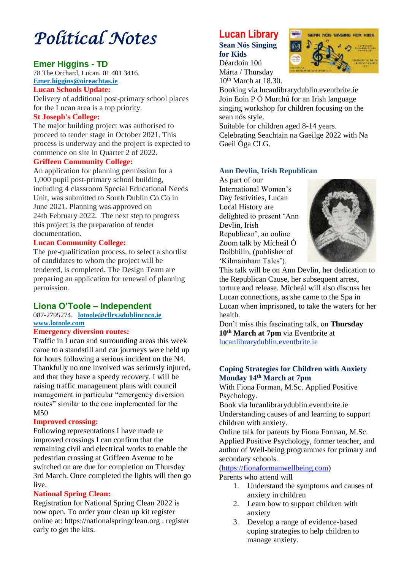# *Political Notes*

#### **Emer Higgins - TD**

78 The Orchard, Lucan. [01 401 3416.](tel:014013416) **Emer.higgins@oireachtas.ie**

#### **Lucan Schools Update:**

Delivery of additional post-primary school places for the Lucan area is a top priority.

#### **St Joseph's College:**

The major building project was authorised to proceed to tender stage in October 2021. This process is underway and the project is expected to commence on site in Quarter 2 of 2022.

#### **Griffeen Community College:**

An application for planning permission for a 1,000 pupil post-primary school building, including 4 classroom Special Educational Needs Unit, was submitted to South Dublin Co Co in June 2021. Planning was approved on 24th February 2022. The next step to progress this project is the preparation of tender documentation.

#### **Lucan Community College:**

The pre-qualification process, to select a shortlist of candidates to whom the project will be tendered, is completed. The Design Team are preparing an application for renewal of planning permission.

#### **Liona O'Toole – Independent**

#### 087-2795274**. [lotoole@cllrs.sdublincoco.ie](mailto:lotoole@cllrs.sdublincoco.ie) [www.lotoole.com](http://www.lotoole.com/)**

#### **Emergency diversion routes:**

Traffic in Lucan and surrounding areas this week came to a standstill and car journeys were held up for hours following a serious incident on the N4. Thankfully no one involved was seriously injured, and that they have a speedy recovery. I will be raising traffic management plans with council management in particular "emergency diversion routes" similar to the one implemented for the M50

#### **Improved crossing:**

Following representations I have made re improved crossings I can confirm that the remaining civil and electrical works to enable the pedestrian crossing at Griffeen Avenue to be switched on are due for completion on Thursday 3rd March. Once completed the lights will then go live.

#### **National Spring Clean:**

Registration for National Spring Clean 2022 is now open. To order your clean up kit register online at: https://nationalspringclean.org . register early to get the kits.

### **Lucan Library**

**Sean Nós Singing for Kids** Déardoin 10ú Márta / Thursday



10<sup>th</sup> March at 18.30. Booking via lucanlibrarydublin.eventbrite.ie Join Eoin P Ó Murchú for an Irish language singing workshop for children focusing on the sean nós style.

Suitable for children aged 8-14 years. Celebrating Seachtain na Gaeilge 2022 with Na Gaeil Óga CLG.

#### **Ann Devlin, Irish Republican**

As part of our International Women's Day festivities, Lucan Local History are delighted to present 'Ann Devlin, Irish Republican', an online Zoom talk by Mícheál Ó Doibhilín, (publisher of 'Kilmainham Tales').



This talk will be on Ann Devlin, her dedication to the Republican Cause, her subsequent arrest, torture and release. Mícheál will also discuss her Lucan connections, as she came to the Spa in Lucan when imprisoned, to take the waters for her health.

Don't miss this fascinating talk, on **Thursday 10th March at 7pm** via Eventbrite at lucanlibrarydublin.eventbrite.ie

#### **Coping Strategies for Children with Anxiety Monday 14th March at 7pm**

With Fiona Forman, M.Sc. Applied Positive Psychology.

Book via lucanlibrarydublin.eventbrite.ie Understanding causes of and learning to support children with anxiety.

Online talk for parents by Fiona Forman, M.Sc. Applied Positive Psychology, former teacher, and author of Well-being programmes for primary and secondary schools.

### [\(https://fionaformanwellbeing.com\)](https://fionaformanwellbeing.com/)

Parents who attend will

- 1. Understand the symptoms and causes of anxiety in children
- 2. Learn how to support children with anxiety
- 3. Develop a range of evidence-based coping strategies to help children to manage anxiety.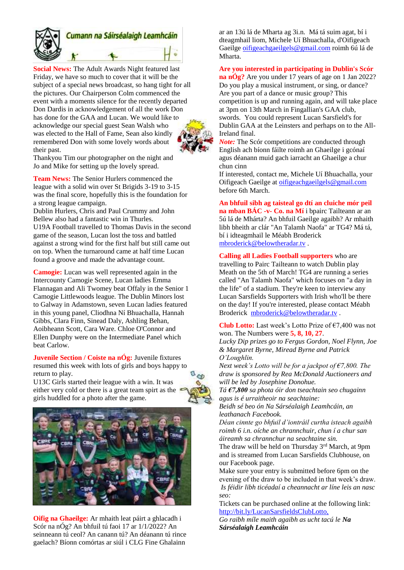

## Cumann na Sáirséalaigh Leamhcáin

**Social News:** The Adult Awards Night featured last Friday, we have so much to cover that it will be the subject of a special news broadcast, so hang tight for all the pictures. Our Chairperson Colm commenced the event with a moments silence for the recently departed Don Dardis in acknowledgement of all the work Don has done for the GAA and Lucan. We would like to acknowledge our special guest Sean Walsh who was elected to the Hall of Fame, Sean also kindly remembered Don with some lovely words about their past.



Thankyou Tim our photographer on the night and Jo and Mike for setting up the lovely spread.

**Team News:** The Senior Hurlers commenced the league with a solid win over St Brigids 3-19 to 3-15 was the final score, hopefully this is the foundation for a strong league campaign.

Dublin Hurlers, Chris and Paul Crummy and John Bellew also had a fantastic win in Thurles. U19A Football travelled to Thomas Davis in the second game of the season, Lucan lost the toss and battled against a strong wind for the first half but still came out on top. When the turnaround came at half time Lucan found a groove and made the advantage count.

**Camogie:** Lucan was well represented again in the Intercounty Camogie Scene, Lucan ladies Emma Flannagan and Ali Twomey beat Offaly in the Senior 1 Camogie Littlewoods league. The Dublin Minors lost to Galway in Adamstown, seven Lucan ladies featured in this young panel, Cliodhna Ní Bhuachalla, Hannah Gibbs, Clara Finn, Sinead Daly, Ashling Behan, Aoibheann Scott, Cara Ware. Chloe O'Connor and Ellen Dunphy were on the Intermediate Panel which beat Carlow.

**Juvenile Section / Coiste na nÓg:** Juvenile fixtures resumed this week with lots of girls and boys happy to return to play.

U13C Girls started their league with a win. It was either very cold or there is a great team spirt as the girls huddled for a photo after the game.





**Oifig na Ghaeilge:** Ar mhaith leat páirt a ghlacadh i Scór na nÓg? An bhfuil tú faoi 17 ar 1/1/2022? An seinneann tú ceol? An canann tú? An déanann tú rince gaelach? Bíonn comórtas ar siúl i CLG Fine Ghalainn

ar an 13ú lá de Mharta ag 3i.n. Má tá suim agat, bí i dteagmhail liom, Michele Uí Bhuachalla, d'Oifigeach Gaeilge [oifigeachgaeilgels@gmail.com](mailto:oifigeachgaeilgels@gmail.com) roimh 6ú lá de Mharta.

#### **Are you interested in participating in Dublin's Scór**

**na nÓg?** Are you under 17 years of age on 1 Jan 2022? Do you play a musical instrument, or sing, or dance? Are you part of a dance or music group? This competition is up and running again, and will take place at 3pm on 13th March in Fingallian's GAA club, swords. You could represent Lucan Sarsfield's for Dublin GAA at the Leinsters and perhaps on to the All-Ireland final.

*Note:* The Scór competitions are conducted through English ach bíonn fáilte roimh an Ghaeilge i gcónaí agus déanann muid gach iarracht an Ghaeilge a chur chun cinn

If interested, contact me, Michele Uí Bhuachalla, your Oifigeach Gaeilge a[t oifigeachgaeilgels@gmail.com](mailto:oifigeachgaeilgels@gmail.com) before 6th March.

**An bhfuil sibh ag taisteal go dtí an cluiche mór peil na mban BÁC -v- Co. na Mí** i bpairc Tailteann ar an 5ú lá de Mhárta? An bhfuil Gaeilge agaibh? Ar mhaith libh bheith ar clár "An Talamh Naofa" ar TG4? Má tá, bí i idteagmhail le Méabh Broderick [mbroderick@belowtheradar.tv](mailto:mbroderick@belowtheradar.tv) .

**Calling all Ladies Football supporters** who are travelling to Pairc Tailteann to watch Dublin play Meath on the 5th of March! TG4 are running a series called "An Talamh Naofa" which focuses on "a day in the life" of a stadium. They're keen to interview any Lucan Sarsfields Supporters with Irish who'll be there on the day! If you're interested, please contact Méabh Broderick [mbroderick@belowtheradar.tv](mailto:mbroderick@belowtheradar.tv) .

**Club Lotto:** Last week's Lotto Prize of €7,400 was not won. The Numbers were **5, 8, 10, 27**.

*Lucky Dip prizes go to Fergus Gordon, Noel Flynn, Joe & Margaret Byrne, Miread Byrne and Patrick O'Loughlin.*

*Next week's Lotto will be for a jackpot of €7,800. The draw is sponsored by Rea McDonald Auctioneers and will be led by Josephine Donohue.*

*Tá €7,800 sa phota óir don tseachtain seo chugainn agus is é urraitheoir na seachtaine:*

*Beidh sé beo ón Na Sárséalaigh Leamhcáin, an leathanach Facebook.*

*Déan cinnte go bhfuil d'iontráil curtha isteach agaibh roimh 6 i.n. oíche an chrannchuir, chun í a chur san áireamh sa chrannchur na seachtaine sin.*

The draw will be held on Thursday 3<sup>rd</sup> March, at 9pm and is streamed from Lucan Sarsfields Clubhouse, on our Facebook page.

Make sure your entry is submitted before 6pm on the evening of the draw to be included in that week's draw. *Is féidir libh ticéadaí a cheannacht ar líne leis an nasc seo:*

Tickets can be purchased online at the following link: <http://bit.ly/LucanSarsfieldsClubLotto,>

*Go raibh míle maith agaibh as ucht tacú le Na Sárséalaigh Leamhcáin*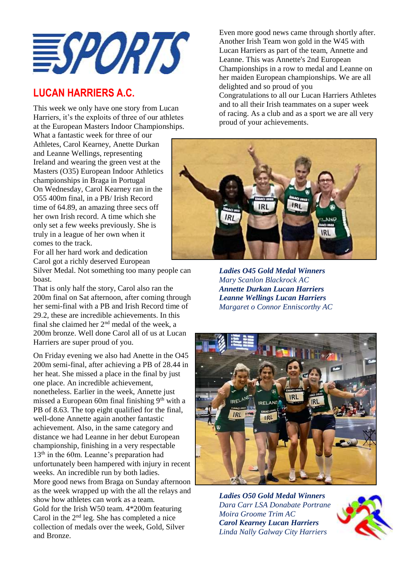

### **LUCAN HARRIERS A.C.**

This week we only have one story from Lucan Harriers, it's the exploits of three of our athletes at the European Masters Indoor Championships.

What a fantastic week for three of our Athletes, Carol Kearney, Anette Durkan and Leanne Wellings, representing Ireland and wearing the green vest at the Masters (O35) European Indoor Athletics championships in Braga in Portugal On Wednesday, Carol Kearney ran in the O55 400m final, in a PB/ Irish Record time of 64.89, an amazing three secs off her own Irish record. A time which she only set a few weeks previously. She is truly in a league of her own when it comes to the track.

For all her hard work and dedication Carol got a richly deserved European

Silver Medal. Not something too many people can boast.

That is only half the story, Carol also ran the 200m final on Sat afternoon, after coming through her semi-final with a PB and Irish Record time of 29.2, these are incredible achievements. In this final she claimed her  $2<sup>nd</sup>$  medal of the week, a 200m bronze. Well done Carol all of us at Lucan Harriers are super proud of you.

On Friday evening we also had Anette in the O45 200m semi-final, after achieving a PB of 28.44 in her heat. She missed a place in the final by just one place. An incredible achievement, nonetheless. Earlier in the week, Annette just missed a European 60m final finishing  $9<sup>th</sup>$  with a PB of 8.63. The top eight qualified for the final, well-done Annette again another fantastic achievement. Also, in the same category and distance we had Leanne in her debut European championship, finishing in a very respectable 13th in the 60m. Leanne's preparation had unfortunately been hampered with injury in recent weeks. An incredible run by both ladies. More good news from Braga on Sunday afternoon as the week wrapped up with the all the relays and show how athletes can work as a team. Gold for the Irish W50 team. 4\*200m featuring Carol in the  $2<sup>nd</sup>$  leg. She has completed a nice collection of medals over the week, Gold, Silver and Bronze.

Even more good news came through shortly after. Another Irish Team won gold in the W45 with Lucan Harriers as part of the team, Annette and Leanne. This was Annette's 2nd European Championships in a row to medal and Leanne on her maiden European championships. We are all delighted and so proud of you Congratulations to all our Lucan Harriers Athletes and to all their Irish teammates on a super week of racing. As a club and as a sport we are all very proud of your achievements.



*Ladies O45 Gold Medal Winners Mary Scanlon Blackrock AC Annette Durkan Lucan Harriers Leanne Wellings Lucan Harriers Margaret o Connor Enniscorthy AC*



*Ladies O50 Gold Medal Winners Dara Carr LSA Donabate Portrane Moira Groome Trim AC Carol Kearney Lucan Harriers Linda Nally Galway City Harriers*

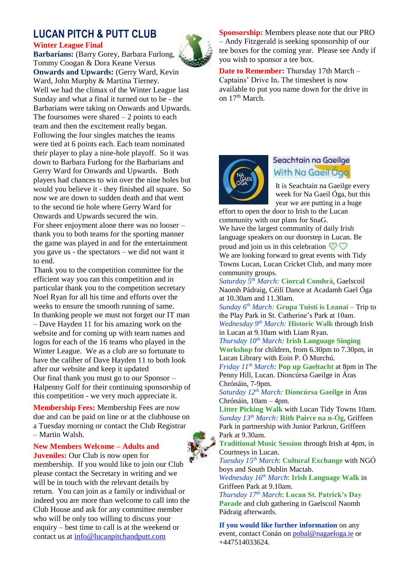#### **LUCAN PITCH & PUTT CLUB Winter League Final**

**Barbarians:** (Barry Gorey, Barbara Furlong, Tommy Coogan & Dora Keane Versus **Onwards and Upwards:** (Gerry Ward, Kevin Ward, John Murphy & Martina Tierney. Well we had the climax of the Winter League last Sunday and what a final it turned out to be - the Barbarians were taking on Onwards and Upwards. The foursomes were shared  $-2$  points to each team and then the excitement really began. Following the four singles matches the teams were tied at 6 points each. Each team nominated their player to play a nine-hole playoff. So it was down to Barbara Furlong for the Barbarians and Gerry Ward for Onwards and Upwards. Both players had chances to win over the nine holes but would you believe it - they finished all square. So now we are down to sudden death and that went to the second tie hole where Gerry Ward for Onwards and Upwards secured the win. For sheer enjoyment alone there was no looser – thank you to both teams for the sporting manner the game was played in and for the entertainment you gave us - the spectators – we did not want it to end.

Thank you to the competition committee for the efficient way you ran this competition and in particular thank you to the competition secretary Noel Ryan for all his time and efforts over the weeks to ensure the smooth running of same. In thanking people we must not forget our IT man – Dave Hayden 11 for his amazing work on the website and for coming up with team names and logos for each of the 16 teams who played in the Winter League. We as a club are so fortunate to have the caliber of Dave Hayden 11 to both look after our website and keep it updated Our final thank you must go to our Sponsor – Halpenny Golf for their continuing sponsorship of this competition - we very much appreciate it.

**Membership Fees:** Membership Fees are now due and can be paid on line or at the clubhouse on a Tuesday morning or contact the Club Registrar – Martin Walsh.

**New Members Welcome – Adults and** 

**Juveniles:** Our Club is now open for membership. If you would like to join our Club please contact the Secretary in writing and we will be in touch with the relevant details by return. You can join as a family or individual or indeed you are more than welcome to call into the Club House and ask for any committee member who will be only too willing to discuss your enquiry – best time to call is at the weekend or contact us at [info@lucanpitchandputt.com](mailto:info@lucanpitchandputt.com)



**Date to Remember:** Thursday 17th March – Captains' Drive In**.** The timesheet is now available to put you name down for the drive in on 17th March.



### Seachtain na Gaeilge With Na Gaeil Oga

It is Seachtain na Gaeilge every week for Na Gaeil Óga, but this year we are putting in a huge

effort to open the door to Irish to the Lucan community with our plans for SnaG.

We have the largest community of daily Irish language speakers on our doorstep in Lucan. Be proud and join us in this celebration  $\mathcal{D}$ We are looking forward to great events with Tidy Towns Lucan, Lucan Cricket Club, and many more community groups.

*Saturday 5th March:* **Ciorcal Comhrá**, Gaelscoil Naomh Pádraig, Céilí Dance at Acadamh Gael Óga at 10.30am and 11.30am.

*Sunday 6th March:* **Grupa Tuistí is Leanaí** – Trip to the Play Park in St. Catherine's Park at 10am. *Wednesday 9th March:* **Historic Walk** through Irish in Lucan at 9.10am with Liam Ryan.

*Thursday 10th March:* **Irish Language Singing Workshop** for children, from 6.30pm to 7.30pm, in Lucan Library with Eoin P. Ó Murchú.

*Friday 11th March:* **Pop up Gaeltacht** at 8pm in The Penny Hill, Lucan. Díoncúrsa Gaeilge in Áras Chrónáin, 7-9pm.

*Saturday 12th March:* **Díoncúrsa Gaeilge** in Áras Chrónáin, 10am – 4pm.

**Litter Picking Walk** with Lucan Tidy Towns 10am. *Sunday 13th March:* **Rith Pairce na n-Óg**, Griffeen Park in partnership with Junior Parkrun, Griffeen Park at 9.30am.

**Traditional Music Session** through Irish at 4pm, in Courtneys in Lucan.

*Tuesday 15th March*: **Cultural Exchange** with NGÓ boys and South Dublin Mactab.

*Wednesday 16th March*: **Irish Language Walk** in Griffeen Park at 9.10am.

*Thursday 17th March*: **Lucan St. Patrick's Day Parade** and club gathering in Gaelscoil Naomh Pádraig afterwards.

**If you would like further information** on any event, contact Conán on [pobal@nagaeloga.ie](mailto:pobal@nagaeloga.ie) or +447514033624.